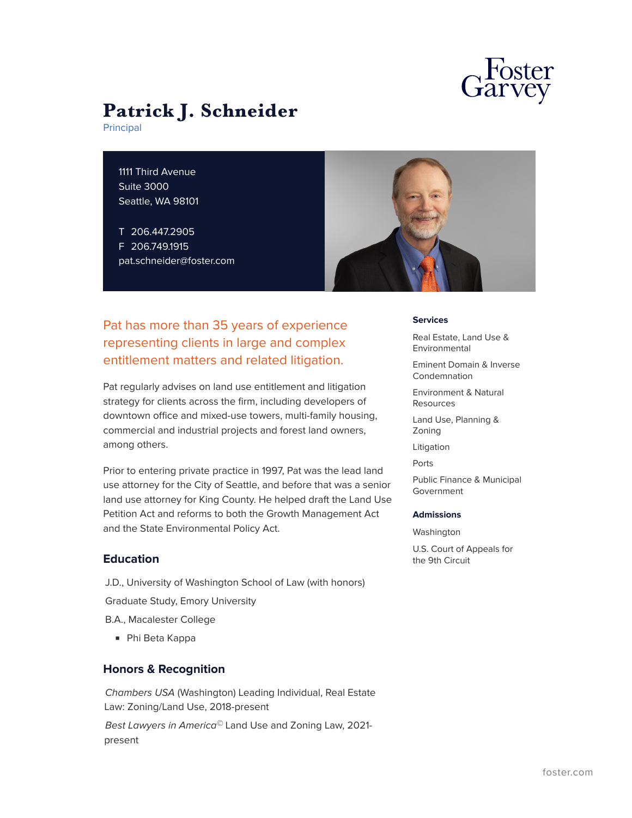

# **Patrick J. Schneider**

Principal

1111 Third Avenue Suite 3000 Seattle, WA 98101

T 206.447.2905 F 206.749.1915 pat.schneider@foster.com



Pat has more than 35 years of experience representing clients in large and complex entitlement matters and related litigation.

Pat regularly advises on land use entitlement and litigation strategy for clients across the firm, including developers of downtown office and mixed-use towers, multi-family housing, commercial and industrial projects and forest land owners, among others.

Prior to entering private practice in 1997, Pat was the lead land use attorney for the City of Seattle, and before that was a senior land use attorney for King County. He helped draft the Land Use Petition Act and reforms to both the Growth Management Act and the State Environmental Policy Act.

#### **Education**

J.D., University of Washington School of Law (with honors) Graduate Study, Emory University B.A., Macalester College

■ Phi Beta Kappa

#### **Honors & Recognition**

*Chambers USA* (Washington) Leading Individual, Real Estate Law: Zoning/Land Use, 2018-present *Best Lawyers in America©* Land Use and Zoning Law, 2021 present

#### **Services**

Real Estate, Land Use & Environmental

Eminent Domain & Inverse Condemnation

Environment & Natural Resources

Land Use, Planning & Zoning

Litigation

Ports

Public Finance & Municipal Government

#### **Admissions**

Washington

U.S. Court of Appeals for the 9th Circuit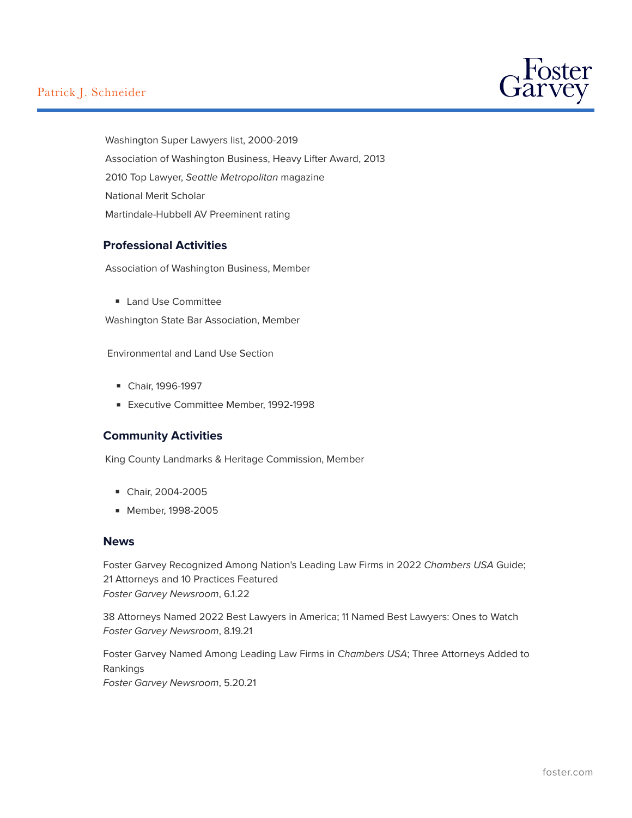## Patrick J. Schneider



Washington Super Lawyers list, 2000-2019 Association of Washington Business, Heavy Lifter Award, 2013 2010 Top Lawyer, *Seattle Metropolitan* magazine National Merit Scholar Martindale-Hubbell AV Preeminent rating

#### **Professional Activities**

Association of Washington Business, Member

■ Land Use Committee

Washington State Bar Association, Member

Environmental and Land Use Section

- Chair, 1996-1997
- Executive Committee Member, 1992-1998

#### **Community Activities**

King County Landmarks & Heritage Commission, Member

- Chair, 2004-2005
- Member, 1998-2005

#### **News**

Foster Garvey Recognized Among Nation's Leading Law Firms in 2022 *Chambers USA* Guide; 21 Attorneys and 10 Practices Featured *Foster Garvey Newsroom*, 6.1.22

38 Attorneys Named 2022 Best Lawyers in America; 11 Named Best Lawyers: Ones to Watch *Foster Garvey Newsroom*, 8.19.21

Foster Garvey Named Among Leading Law Firms in *Chambers USA*; Three Attorneys Added to Rankings *Foster Garvey Newsroom*, 5.20.21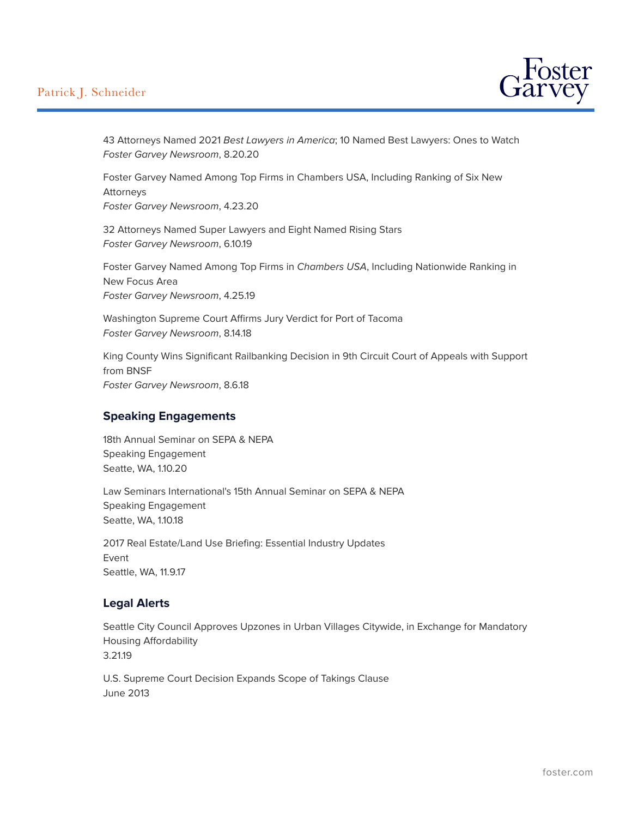## Patrick J. Schneider



43 Attorneys Named 2021 *Best Lawyers in America*; 10 Named Best Lawyers: Ones to Watch *Foster Garvey Newsroom*, 8.20.20

Foster Garvey Named Among Top Firms in Chambers USA, Including Ranking of Six New Attorneys

*Foster Garvey Newsroom*, 4.23.20

32 Attorneys Named Super Lawyers and Eight Named Rising Stars *Foster Garvey Newsroom*, 6.10.19

Foster Garvey Named Among Top Firms in *Chambers USA*, Including Nationwide Ranking in New Focus Area *Foster Garvey Newsroom*, 4.25.19

Washington Supreme Court Affirms Jury Verdict for Port of Tacoma *Foster Garvey Newsroom*, 8.14.18

King County Wins Significant Railbanking Decision in 9th Circuit Court of Appeals with Support from BNSF *Foster Garvey Newsroom*, 8.6.18

#### **Speaking Engagements**

18th Annual Seminar on SEPA & NEPA Speaking Engagement Seatte, WA, 1.10.20

Law Seminars International's 15th Annual Seminar on SEPA & NEPA Speaking Engagement Seatte, WA, 1.10.18

2017 Real Estate/Land Use Briefing: Essential Industry Updates Event Seattle, WA, 11.9.17

#### **Legal Alerts**

Seattle City Council Approves Upzones in Urban Villages Citywide, in Exchange for Mandatory Housing Affordability 3.21.19

U.S. Supreme Court Decision Expands Scope of Takings Clause June 2013